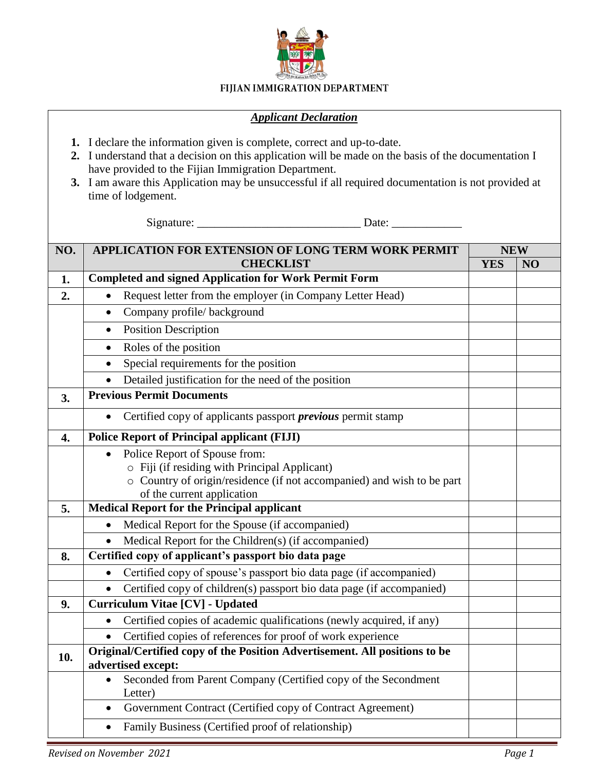

## FIJIAN IMMIGRATION DEPARTMENT

## *Applicant Declaration*

- **1.** I declare the information given is complete, correct and up-to-date.
- **2.** I understand that a decision on this application will be made on the basis of the documentation I have provided to the Fijian Immigration Department.
- **3.** I am aware this Application may be unsuccessful if all required documentation is not provided at time of lodgement.

Signature: \_\_\_\_\_\_\_\_\_\_\_\_\_\_\_\_\_\_\_\_\_\_\_\_\_\_\_\_ Date: \_\_\_\_\_\_\_\_\_\_\_\_

| NO. | APPLICATION FOR EXTENSION OF LONG TERM WORK PERMIT<br><b>CHECKLIST</b>                                             | <b>NEW</b> |    |
|-----|--------------------------------------------------------------------------------------------------------------------|------------|----|
|     |                                                                                                                    | <b>YES</b> | NO |
| 1.  | <b>Completed and signed Application for Work Permit Form</b>                                                       |            |    |
| 2.  | Request letter from the employer (in Company Letter Head)<br>$\bullet$                                             |            |    |
|     | Company profile/background<br>$\bullet$                                                                            |            |    |
|     | <b>Position Description</b><br>$\bullet$                                                                           |            |    |
|     | Roles of the position                                                                                              |            |    |
|     | Special requirements for the position<br>$\bullet$                                                                 |            |    |
|     | Detailed justification for the need of the position                                                                |            |    |
| 3.  | <b>Previous Permit Documents</b>                                                                                   |            |    |
|     | Certified copy of applicants passport <i>previous</i> permit stamp<br>$\bullet$                                    |            |    |
| 4.  | <b>Police Report of Principal applicant (FIJI)</b>                                                                 |            |    |
|     | Police Report of Spouse from:<br>$\bullet$                                                                         |            |    |
|     | o Fiji (if residing with Principal Applicant)                                                                      |            |    |
|     | o Country of origin/residence (if not accompanied) and wish to be part                                             |            |    |
| 5.  | of the current application<br><b>Medical Report for the Principal applicant</b>                                    |            |    |
|     |                                                                                                                    |            |    |
|     | Medical Report for the Spouse (if accompanied)<br>Medical Report for the Children(s) (if accompanied)<br>$\bullet$ |            |    |
|     | Certified copy of applicant's passport bio data page                                                               |            |    |
| 8.  |                                                                                                                    |            |    |
|     | Certified copy of spouse's passport bio data page (if accompanied)                                                 |            |    |
|     | Certified copy of children(s) passport bio data page (if accompanied)                                              |            |    |
| 9.  | Curriculum Vitae [CV] - Updated                                                                                    |            |    |
|     | Certified copies of academic qualifications (newly acquired, if any)                                               |            |    |
|     | Certified copies of references for proof of work experience                                                        |            |    |
| 10. | Original/Certified copy of the Position Advertisement. All positions to be<br>advertised except:                   |            |    |
|     | Seconded from Parent Company (Certified copy of the Secondment<br>$\bullet$                                        |            |    |
|     | Letter)                                                                                                            |            |    |
|     | Government Contract (Certified copy of Contract Agreement)<br>٠                                                    |            |    |
|     | Family Business (Certified proof of relationship)<br>$\bullet$                                                     |            |    |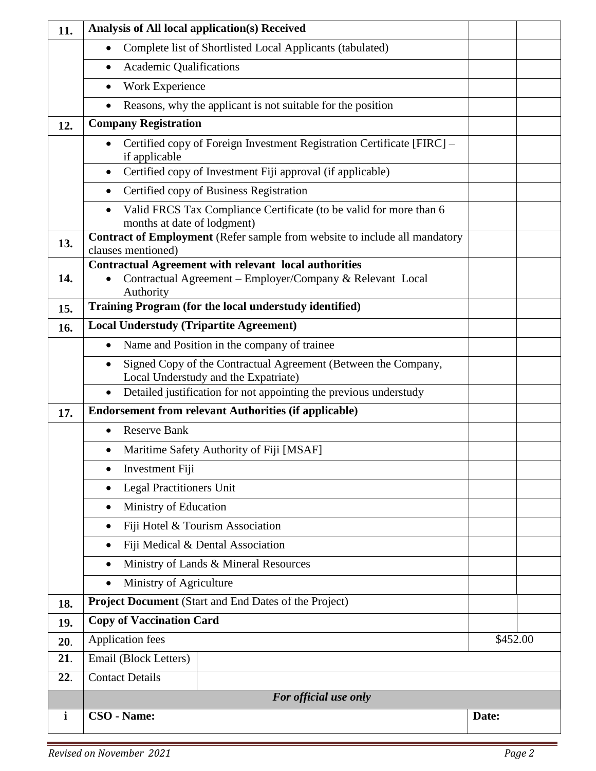| 11.          | <b>Analysis of All local application(s) Received</b>                                                                      |          |  |  |  |
|--------------|---------------------------------------------------------------------------------------------------------------------------|----------|--|--|--|
|              | Complete list of Shortlisted Local Applicants (tabulated)                                                                 |          |  |  |  |
|              | <b>Academic Qualifications</b><br>$\bullet$                                                                               |          |  |  |  |
|              | Work Experience<br>$\bullet$                                                                                              |          |  |  |  |
|              | Reasons, why the applicant is not suitable for the position<br>$\bullet$                                                  |          |  |  |  |
| 12.          | <b>Company Registration</b>                                                                                               |          |  |  |  |
|              | Certified copy of Foreign Investment Registration Certificate [FIRC] -<br>if applicable                                   |          |  |  |  |
|              | Certified copy of Investment Fiji approval (if applicable)<br>$\bullet$                                                   |          |  |  |  |
|              | Certified copy of Business Registration<br>$\bullet$                                                                      |          |  |  |  |
|              | Valid FRCS Tax Compliance Certificate (to be valid for more than 6<br>$\bullet$<br>months at date of lodgment)            |          |  |  |  |
| 13.          | <b>Contract of Employment</b> (Refer sample from website to include all mandatory<br>clauses mentioned)                   |          |  |  |  |
| 14.          | <b>Contractual Agreement with relevant local authorities</b><br>Contractual Agreement - Employer/Company & Relevant Local |          |  |  |  |
|              | Authority                                                                                                                 |          |  |  |  |
| 15.          | Training Program (for the local understudy identified)                                                                    |          |  |  |  |
| 16.          | <b>Local Understudy (Tripartite Agreement)</b>                                                                            |          |  |  |  |
|              | Name and Position in the company of trainee<br>$\bullet$                                                                  |          |  |  |  |
|              | Signed Copy of the Contractual Agreement (Between the Company,<br>Local Understudy and the Expatriate)                    |          |  |  |  |
|              | Detailed justification for not appointing the previous understudy                                                         |          |  |  |  |
| 17.          | <b>Endorsement from relevant Authorities (if applicable)</b>                                                              |          |  |  |  |
|              | <b>Reserve Bank</b>                                                                                                       |          |  |  |  |
|              | Maritime Safety Authority of Fiji [MSAF]                                                                                  |          |  |  |  |
|              | Investment Fiji<br>$\bullet$                                                                                              |          |  |  |  |
|              | Legal Practitioners Unit<br>$\bullet$                                                                                     |          |  |  |  |
|              | Ministry of Education<br>$\bullet$                                                                                        |          |  |  |  |
|              | Fiji Hotel & Tourism Association<br>$\bullet$                                                                             |          |  |  |  |
|              | Fiji Medical & Dental Association<br>$\bullet$                                                                            |          |  |  |  |
|              | Ministry of Lands & Mineral Resources<br>$\bullet$                                                                        |          |  |  |  |
|              | Ministry of Agriculture<br>$\bullet$                                                                                      |          |  |  |  |
| 18.          | Project Document (Start and End Dates of the Project)                                                                     |          |  |  |  |
| 19.          | <b>Copy of Vaccination Card</b>                                                                                           |          |  |  |  |
| 20.          | <b>Application fees</b>                                                                                                   | \$452.00 |  |  |  |
| 21.          | Email (Block Letters)                                                                                                     |          |  |  |  |
| 22.          | <b>Contact Details</b>                                                                                                    |          |  |  |  |
|              | For official use only                                                                                                     |          |  |  |  |
| $\mathbf{i}$ | CSO - Name:                                                                                                               | Date:    |  |  |  |